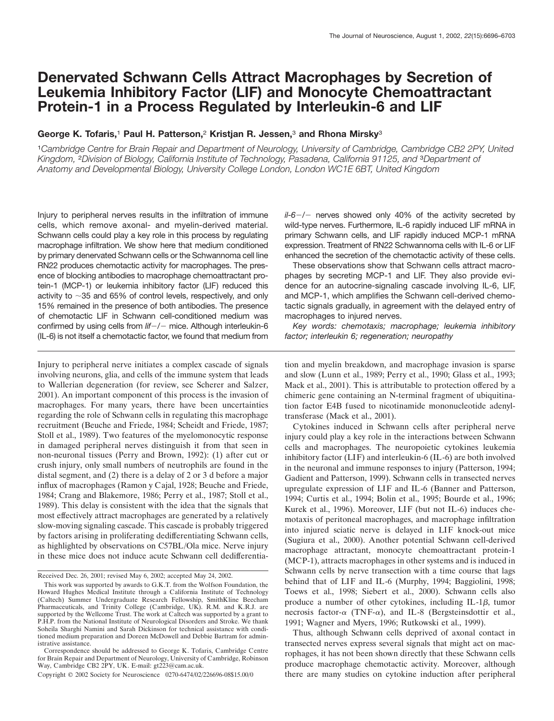# **Denervated Schwann Cells Attract Macrophages by Secretion of Leukemia Inhibitory Factor (LIF) and Monocyte Chemoattractant Protein-1 in a Process Regulated by Interleukin-6 and LIF**

# **George K. Tofaris,**<sup>1</sup> **Paul H. Patterson,**<sup>2</sup> **Kristjan R. Jessen,**<sup>3</sup> **and Rhona Mirsky**<sup>3</sup>

<sup>1</sup>*Cambridge Centre for Brain Repair and Department of Neurology, University of Cambridge, Cambridge CB2 2PY, United Kingdom,* <sup>2</sup>*Division of Biology, California Institute of Technology, Pasadena, California 91125, and* <sup>3</sup>*Department of Anatomy and Developmental Biology, University College London, London WC1E 6BT, United Kingdom*

Injury to peripheral nerves results in the infiltration of immune cells, which remove axonal- and myelin-derived material. Schwann cells could play a key role in this process by regulating macrophage infiltration. We show here that medium conditioned by primary denervated Schwann cells or the Schwannoma cell line RN22 produces chemotactic activity for macrophages. The presence of blocking antibodies to macrophage chemoattractant protein-1 (MCP-1) or leukemia inhibitory factor (LIF) reduced this activity to  $\sim$ 35 and 65% of control levels, respectively, and only 15% remained in the presence of both antibodies. The presence of chemotactic LIF in Schwann cell-conditioned medium was confirmed by using cells from *lif*-*/*- mice. Although interleukin-6 (IL-6) is not itself a chemotactic factor, we found that medium from

Injury to peripheral nerve initiates a complex cascade of signals involving neurons, glia, and cells of the immune system that leads to Wallerian degeneration (for review, see Scherer and Salzer, 2001). An important component of this process is the invasion of macrophages. For many years, there have been uncertainties regarding the role of Schwann cells in regulating this macrophage recruitment (Beuche and Friede, 1984; Scheidt and Friede, 1987; Stoll et al., 1989). Two features of the myelomonocytic response in damaged peripheral nerves distinguish it from that seen in non-neuronal tissues (Perry and Brown, 1992): (1) after cut or crush injury, only small numbers of neutrophils are found in the distal segment, and (2) there is a delay of 2 or 3 d before a major influx of macrophages (Ramon y Cajal, 1928; Beuche and Friede, 1984; Crang and Blakemore, 1986; Perry et al., 1987; Stoll et al., 1989). This delay is consistent with the idea that the signals that most effectively attract macrophages are generated by a relatively slow-moving signaling cascade. This cascade is probably triggered by factors arising in proliferating dedifferentiating Schwann cells, as highlighted by observations on C57BL/Ola mice. Nerve injury in these mice does not induce acute Schwann cell dedifferentia-

*il-6*-*/*- nerves showed only 40% of the activity secreted by wild-type nerves. Furthermore, IL-6 rapidly induced LIF mRNA in primary Schwann cells, and LIF rapidly induced MCP-1 mRNA expression. Treatment of RN22 Schwannoma cells with IL-6 or LIF enhanced the secretion of the chemotactic activity of these cells.

These observations show that Schwann cells attract macrophages by secreting MCP-1 and LIF. They also provide evidence for an autocrine-signaling cascade involving IL-6, LIF, and MCP-1, which amplifies the Schwann cell-derived chemotactic signals gradually, in agreement with the delayed entry of macrophages to injured nerves.

*Key words: chemotaxis; macrophage; leukemia inhibitory factor; interleukin 6; regeneration; neuropathy*

tion and myelin breakdown, and macrophage invasion is sparse and slow (Lunn et al., 1989; Perry et al., 1990; Glass et al., 1993; Mack et al., 2001). This is attributable to protection offered by a chimeric gene containing an N-terminal fragment of ubiquitination factor E4B fused to nicotinamide mononucleotide adenyltransferase (Mack et al., 2001).

Cytokines induced in Schwann cells after peripheral nerve injury could play a key role in the interactions between Schwann cells and macrophages. The neuropoietic cytokines leukemia inhibitory factor (LIF) and interleukin-6 (IL-6) are both involved in the neuronal and immune responses to injury (Patterson, 1994; Gadient and Patterson, 1999). Schwann cells in transected nerves upregulate expression of LIF and IL-6 (Banner and Patterson, 1994; Curtis et al., 1994; Bolin et al., 1995; Bourde et al., 1996; Kurek et al., 1996). Moreover, LIF (but not IL-6) induces chemotaxis of peritoneal macrophages, and macrophage infiltration into injured sciatic nerve is delayed in LIF knock-out mice (Sugiura et al., 2000). Another potential Schwann cell-derived macrophage attractant, monocyte chemoattractant protein-1 (MCP-1), attracts macrophages in other systems and is induced in Schwann cells by nerve transection with a time course that lags behind that of LIF and IL-6 (Murphy, 1994; Baggiolini, 1998; Toews et al., 1998; Siebert et al., 2000). Schwann cells also produce a number of other cytokines, including IL-1 $\beta$ , tumor necrosis factor- $\alpha$  (TNF- $\alpha$ ), and IL-8 (Bergsteinsdottir et al., 1991; Wagner and Myers, 1996; Rutkowski et al., 1999).

Thus, although Schwann cells deprived of axonal contact in transected nerves express several signals that might act on macrophages, it has not been shown directly that these Schwann cells produce macrophage chemotactic activity. Moreover, although there are many studies on cytokine induction after peripheral

Received Dec. 26, 2001; revised May 6, 2002; accepted May 24, 2002.

This work was supported by awards to G.K.T. from the Wolfson Foundation, the Howard Hughes Medical Institute through a California Institute of Technology (Caltech) Summer Undergraduate Research Fellowship, SmithKline Beecham Pharmaceuticals, and Trinity College (Cambridge, UK). R.M. and K.R.J. are supported by the Wellcome Trust. The work at Caltech was supported by a grant to P.H.P. from the National Institute of Neurological Disorders and Stroke. We thank Soheila Sharghi Namini and Sarah Dickinson for technical assistance with conditioned medium preparation and Doreen McDowell and Debbie Bartram for administrative assistance.

Correspondence should be addressed to George K. Tofaris, Cambridge Centre for Brain Repair and Department of Neurology, University of Cambridge, Robinson Way, Cambridge CB2 2PY, UK. E-mail: gt223@cam.ac.uk.

Copyright © 2002 Society for Neuroscience 0270-6474/02/226696-08\$15.00/0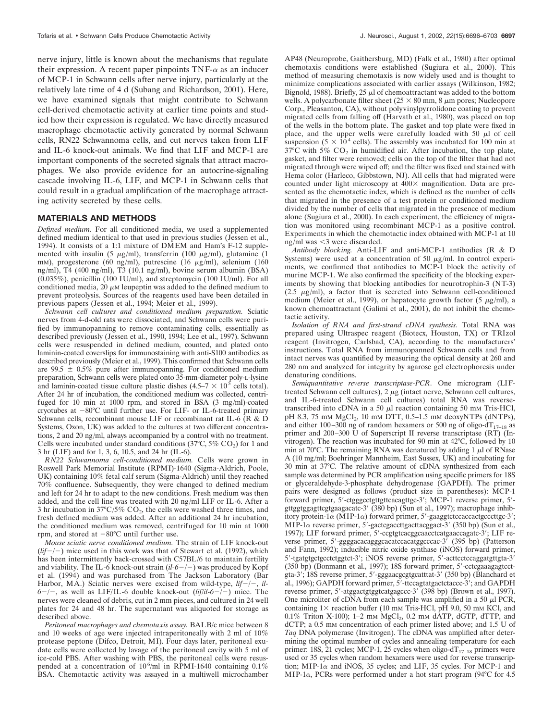nerve injury, little is known about the mechanisms that regulate their expression. A recent paper pinpoints  $TNF-\alpha$  as an inducer of MCP-1 in Schwann cells after nerve injury, particularly at the relatively late time of 4 d (Subang and Richardson, 2001). Here, we have examined signals that might contribute to Schwann cell-derived chemotactic activity at earlier time points and studied how their expression is regulated. We have directly measured macrophage chemotactic activity generated by normal Schwann cells, RN22 Schwannoma cells, and cut nerves taken from LIF and IL-6 knock-out animals. We find that LIF and MCP-1 are important components of the secreted signals that attract macrophages. We also provide evidence for an autocrine-signaling cascade involving IL-6, LIF, and MCP-1 in Schwann cells that could result in a gradual amplification of the macrophage attracting activity secreted by these cells.

#### **MATERIALS AND METHODS**

*Defined medium.* For all conditioned media, we used a supplemented defined medium identical to that used in previous studies (Jessen et al., 1994). It consists of a 1:1 mixture of DMEM and Ham's F-12 supplemented with insulin (5  $\mu$ g/ml), transferrin (100  $\mu$ g/ml), glutamine (1 mM), progesterone (60 ng/ml), putrescine (16  $\mu$ g/ml), selenium (160 ng/ml), T4 (400 ng/ml), T3 (10.1 ng/ml), bovine serum albumin (BSA) (0.035%), penicillin (100 IU/ml), and streptomycin (100 IU/ml). For all conditioned media,  $20 \mu M$  leupeptin was added to the defined medium to prevent proteolysis. Sources of the reagents used have been detailed in previous papers (Jessen et al., 1994; Meier et al., 1999).

*Schwann cell cultures and conditioned medium preparation.* Sciatic nerves from 4-d-old rats were dissociated, and Schwann cells were purified by immunopanning to remove contaminating cells, essentially as described previously (Jessen et al., 1990, 1994; Lee et al., 1997). Schwann cells were resuspended in defined medium, counted, and plated onto laminin-coated coverslips for immunostaining with anti-S100 antibodies as described previously (Meier et al., 1999). This confirmed that Schwann cells are 99.5  $\pm$  0.5% pure after immunopanning. For conditioned medium preparation, Schwann cells were plated onto 35-mm-diameter poly-L-lysine and laminin-coated tissue culture plastic dishes  $(4.5-7 \times 10^5 \text{ cells total})$ . After 24 hr of incubation, the conditioned medium was collected, centrifuged for 10 min at 1000 rpm, and stored in BSA (3 mg/ml)-coated cryotubes at -80°C until further use. For LIF- or IL-6-treated primary Schwann cells, recombinant mouse LIF or recombinant rat IL-6 (R & D Systems, Oxon, UK) was added to the cultures at two different concentrations, 2 and 20 ng/ml, always accompanied by a control with no treatment. Cells were incubated under standard conditions  $(37^{\circ}C, 5\%$  CO<sub>2</sub>) for 1 and 3 hr (LIF) and for 1, 3, 6, 10.5, and 24 hr (IL-6).

*RN22 Schwannoma cell-conditioned medium.* Cells were grown in Roswell Park Memorial Institute (RPMI)-1640 (Sigma-Aldrich, Poole, UK) containing 10% fetal calf serum (Sigma-Aldrich) until they reached 70% confluence. Subsequently, they were changed to defined medium and left for 24 hr to adapt to the new conditions. Fresh medium was then added, and the cell line was treated with 20 ng/ml LIF or IL-6. After a 3 hr incubation in 37 $\degree$ C/5% CO<sub>2</sub>, the cells were washed three times, and fresh defined medium was added. After an additional 24 hr incubation, the conditioned medium was removed, centrifuged for 10 min at 1000 rpm, and stored at  $-80^{\circ}$ C until further use.

*Mouse sciatic nerve conditioned medium.* The strain of LIF knock-out  $(lif-/-)$  mice used in this work was that of Stewart et al. (1992), which has been intermittently back-crossed with C57BL/6 to maintain fertility and viability. The IL-6 knock-out strain (*il-6*-*/*-) was produced by Kopf et al. (1994) and was purchased from The Jackson Laboratory (Bar Harbor, MA.) Sciatic nerves were excised from wild-type,  $lif$ -/-,  $il$ -*6*-*/*-, as well as LIF/IL-6 double knock-out (*lif/il-6*-*/*-) mice. The nerves were cleaned of debris, cut in 2 mm pieces, and cultured in 24 well plates for 24 and 48 hr. The supernatant was aliquoted for storage as described above.

*Peritoneal macrophages and chemotaxis assay.* BALB/c mice between 8 and 10 weeks of age were injected intraperitoneally with 2 ml of 10% protease peptone (Difco, Detroit, MI). Four days later, peritoneal exudate cells were collected by lavage of the peritoneal cavity with 5 ml of ice-cold PBS. After washing with PBS, the peritoneal cells were resuspended at a concentration of  $10^6$ /ml in RPMI-1640 containing 0.1% BSA. Chemotactic activity was assayed in a multiwell microchamber AP48 (Neuroprobe, Gaithersburg, MD) (Falk et al., 1980) after optimal chemotaxis conditions were established (Sugiura et al., 2000). This method of measuring chemotaxis is now widely used and is thought to minimize complications associated with earlier assays (Wilkinson, 1982; Bignold, 1988). Briefly,  $25 \mu$ l of chemoattractant was added to the bottom wells. A polycarbonate filter sheet ( $25 \times 80$  mm,  $8 \mu$ m pores; Nucleopore Corp., Pleasanton, CA), without polyvinylpyrrolidone coating to prevent migrated cells from falling off (Harvath et al., 1980), was placed on top of the wells in the bottom plate. The gasket and top plate were fixed in place, and the upper wells were carefully loaded with 50  $\mu$ l of cell suspension ( $5 \times 10^4$  cells). The assembly was incubated for 100 min at  $37^{\circ}$ C with  $5\%$  CO<sub>2</sub> in humidified air. After incubation, the top plate, gasket, and filter were removed; cells on the top of the filter that had not migrated through were wiped off; and the filter was fixed and stained with Hema color (Harleco, Gibbstown, NJ). All cells that had migrated were counted under light microscopy at  $400\times$  magnification. Data are presented as the chemotactic index, which is defined as the number of cells that migrated in the presence of a test protein or conditioned medium divided by the number of cells that migrated in the presence of medium alone (Sugiura et al., 2000). In each experiment, the efficiency of migration was monitored using recombinant MCP-1 as a positive control. Experiments in which the chemotactic index obtained with MCP-1 at 10 ng/ml was  $\leq$ 3 were discarded.

*Antibody blocking.* Anti-LIF and anti-MCP-1 antibodies (R & D Systems) were used at a concentration of 50  $\mu$ g/ml. In control experiments, we confirmed that antibodies to MCP-1 block the activity of murine MCP-1. We also confirmed the specificity of the blocking experiments by showing that blocking antibodies for neurotrophin-3 (NT-3) ( $2.5 \mu g/ml$ ), a factor that is secreted into Schwann cell-conditioned medium (Meier et al., 1999), or hepatocyte growth factor (5  $\mu$ g/ml), a known chemoattractant (Galimi et al., 2001), do not inhibit the chemotactic activity.

*Isolation of RNA and first-strand cDNA synthesis.* Total RNA was prepared using Ultraspec reagent (Biotecx, Houston, TX) or TRIzol reagent (Invitrogen, Carlsbad, CA), according to the manufacturers' instructions. Total RNA from immunopanned Schwann cells and from intact nerves was quantified by measuring the optical density at 260 and 280 nm and analyzed for integrity by agarose gel electrophoresis under denaturing conditions.

*Semiquantitative reverse transcriptase-PCR.* One microgram (LIFtreated Schwann cell cultures),  $2 \mu g$  (intact nerve, Schwann cell cultures, and IL-6-treated Schwann cell cultures) total RNA was reversetranscribed into cDNA in a 50  $\mu$ l reaction containing 50 mm Tris-HCl, pH 8.3, 75 mm MgCl<sub>2</sub>, 10 mm DTT, 0.5–1.5 mm deoxyNTPs (dNTPs), and either 100–300 ng of random hexamers or 500 ng of oligo-d $T_{17-18}$  as primer and 200–300 U of Superscript II reverse transcriptase (RT) (Invitrogen). The reaction was incubated for 90 min at 42°C, followed by 10 min at 70°C. The remaining RNA was denatured by adding 1  $\mu$ l of RNase A (10 mg/ml; Boehringer Mannheim, East Sussex, UK) and incubating for 30 min at 37°C. The relative amount of cDNA synthesized from each sample was determined by PCR amplification using specific primers for 18S or glyceraldehyde-3-phosphate dehydrogenase (GAPDH). The primer pairs were designed as follows (product size in parentheses): MCP-1 forward primer, 5'-ctgggcctgttgttcacagttgc-3'; MCP-1 reverse primer, 5'gttggtggagttcgtgaagacatc-3 (380 bp) (Sun et al., 1997); macrophage inhibitory protein-1 $\alpha$  (MIP-1 $\alpha$ ) forward primer, 5'-gaaggtctccaccactgcccttgc-3'; MIP-1α reverse primer, 5'-gactcgaccttgacttacggact-3' (350 bp) (Sun et al., 1997); LIF forward primer, 5-ccgtgtcacggcaacctcatgaaccagatc-3; LIF reverse primer, 5'-ggggacacagggcacatccacatggcccac-3' (395 bp) (Patterson and Fann, 1992); inducible nitric oxide synthase (iNOS) forward primer, 5'-tgatgtgctgcctctggtct-3'; iNOS reverse primer, 5'-acttcctccaggatgttgta-3' (350 bp) (Bonmann et al., 1997); 18S forward primer, 5-cctcgaaagagtcctgta-3; 18S reverse primer, 5-gggaacgcgtgcatttat-3 (350 bp) (Blanchard et al., 1996); GAPDH forward primer, 5'-ttccagtatgactctaccc-3'; and GAPDH reverse primer, 5'-atggactgtggtcatgagccc-3' (398 bp) (Brown et al., 1997). One microliter of cDNA from each sample was amplified in a 50  $\mu$ l PCR, containing  $1\times$  reaction buffer (10 mm Tris-HCl, pH 9.0, 50 mm KCl, and  $0.1\%$  Triton X-100); 1–2 mm MgCl<sub>2</sub>, 0.2 mm dATP, dGTP, dTTP, and dCTP; a 0.5 mM concentration of each primer listed above; and 1.5 U of *Taq* DNA polymerase (Invitrogen). The cDNA was amplified after determining the optimal number of cycles and annealing temperature for each primer: 18S, 21 cycles; MCP-1, 25 cycles when oligo-d $T_{17-18}$  primers were used or 35 cycles when random hexamers were used for reverse transcription; MIP-1 $\alpha$  and iNOS, 35 cycles; and LIF, 35 cycles. For MCP-1 and MIP-1 $\alpha$ , PCRs were performed under a hot start program (94 $\degree$ C for 4.5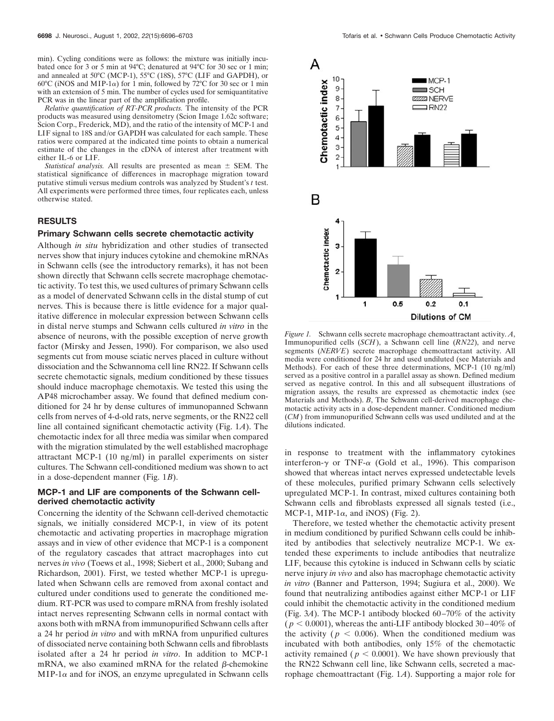min). Cycling conditions were as follows: the mixture was initially incubated once for 3 or 5 min at 94°C; denatured at 94°C for 30 sec or 1 min; and annealed at 50°C (MCP-1), 55°C (18S), 57°C (LIF and GAPDH), or  $60^{\circ}$ C (iNOS and MIP-1 $\alpha$ ) for 1 min, followed by 72 $^{\circ}$ C for 30 sec or 1 min with an extension of 5 min. The number of cycles used for semiquantitative PCR was in the linear part of the amplification profile.

*Relative quantification of RT-PCR products.* The intensity of the PCR products was measured using densitometry (Scion Image 1.62c software; Scion Corp., Frederick, MD), and the ratio of the intensity of MCP-1 and LIF signal to 18S and/or GAPDH was calculated for each sample. These ratios were compared at the indicated time points to obtain a numerical estimate of the changes in the cDNA of interest after treatment with either IL-6 or LIF.

*Statistical analysis.* All results are presented as mean  $\pm$  SEM. The statistical significance of differences in macrophage migration toward putative stimuli versus medium controls was analyzed by Student's *t* test. All experiments were performed three times, four replicates each, unless otherwise stated.

#### **RESULTS**

#### **Primary Schwann cells secrete chemotactic activity**

Although *in situ* hybridization and other studies of transected nerves show that injury induces cytokine and chemokine mRNAs in Schwann cells (see the introductory remarks), it has not been shown directly that Schwann cells secrete macrophage chemotactic activity. To test this, we used cultures of primary Schwann cells as a model of denervated Schwann cells in the distal stump of cut nerves. This is because there is little evidence for a major qualitative difference in molecular expression between Schwann cells in distal nerve stumps and Schwann cells cultured *in vitro* in the absence of neurons, with the possible exception of nerve growth factor (Mirsky and Jessen, 1990). For comparison, we also used segments cut from mouse sciatic nerves placed in culture without dissociation and the Schwannoma cell line RN22. If Schwann cells secrete chemotactic signals, medium conditioned by these tissues should induce macrophage chemotaxis. We tested this using the AP48 microchamber assay. We found that defined medium conditioned for 24 hr by dense cultures of immunopanned Schwann cells from nerves of 4-d-old rats, nerve segments, or the RN22 cell line all contained significant chemotactic activity (Fig. 1*A*). The chemotactic index for all three media was similar when compared with the migration stimulated by the well established macrophage attractant MCP-1 (10 ng/ml) in parallel experiments on sister cultures. The Schwann cell-conditioned medium was shown to act in a dose-dependent manner (Fig. 1*B*).

### **MCP-1 and LIF are components of the Schwann cellderived chemotactic activity**

Concerning the identity of the Schwann cell-derived chemotactic signals, we initially considered MCP-1, in view of its potent chemotactic and activating properties in macrophage migration assays and in view of other evidence that MCP-1 is a component of the regulatory cascades that attract macrophages into cut nerves *in vivo* (Toews et al., 1998; Siebert et al., 2000; Subang and Richardson, 2001). First, we tested whether MCP-1 is upregulated when Schwann cells are removed from axonal contact and cultured under conditions used to generate the conditioned medium. RT-PCR was used to compare mRNA from freshly isolated intact nerves representing Schwann cells in normal contact with axons both with mRNA from immunopurified Schwann cells after a 24 hr period *in vitro* and with mRNA from unpurified cultures of dissociated nerve containing both Schwann cells and fibroblasts isolated after a 24 hr period *in vitro*. In addition to MCP-1 mRNA, we also examined mRNA for the related  $\beta$ -chemokine  $MIP-1\alpha$  and for iNOS, an enzyme upregulated in Schwann cells



*Figure 1.* Schwann cells secrete macrophage chemoattractant activity. *A*, Immunopurified cells (*SCH*), a Schwann cell line (*RN22*), and nerve segments (*NERVE*) secrete macrophage chemoattractant activity. All media were conditioned for 24 hr and used undiluted (see Materials and Methods). For each of these three determinations, MCP-1 (10 ng/ml) served as a positive control in a parallel assay as shown. Defined medium served as negative control. In this and all subsequent illustrations of migration assays, the results are expressed as chemotactic index (see Materials and Methods). *B*, The Schwann cell-derived macrophage chemotactic activity acts in a dose-dependent manner. Conditioned medium (*CM*) from immunopurified Schwann cells was used undiluted and at the dilutions indicated.

in response to treatment with the inflammatory cytokines interferon- $\gamma$  or TNF- $\alpha$  (Gold et al., 1996). This comparison showed that whereas intact nerves expressed undetectable levels of these molecules, purified primary Schwann cells selectively upregulated MCP-1. In contrast, mixed cultures containing both Schwann cells and fibroblasts expressed all signals tested (i.e., MCP-1, MIP-1 $\alpha$ , and iNOS) (Fig. 2).

Therefore, we tested whether the chemotactic activity present in medium conditioned by purified Schwann cells could be inhibited by antibodies that selectively neutralize MCP-1. We extended these experiments to include antibodies that neutralize LIF, because this cytokine is induced in Schwann cells by sciatic nerve injury *in vivo* and also has macrophage chemotactic activity *in vitro* (Banner and Patterson, 1994; Sugiura et al., 2000). We found that neutralizing antibodies against either MCP-1 or LIF could inhibit the chemotactic activity in the conditioned medium (Fig. 3*A*). The MCP-1 antibody blocked 60–70% of the activity  $(p < 0.0001)$ , whereas the anti-LIF antibody blocked 30–40% of the activity ( $p < 0.006$ ). When the conditioned medium was incubated with both antibodies, only 15% of the chemotactic activity remained ( $p < 0.0001$ ). We have shown previously that the RN22 Schwann cell line, like Schwann cells, secreted a macrophage chemoattractant (Fig. 1*A*). Supporting a major role for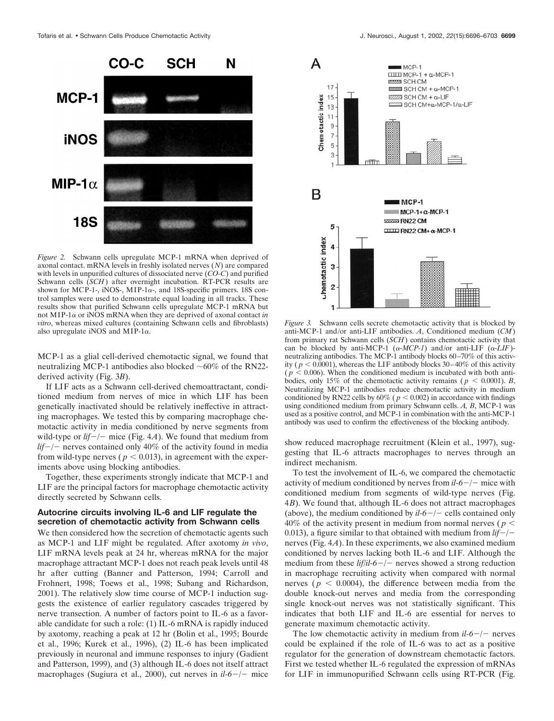

*Figure 2.* Schwann cells upregulate MCP-1 mRNA when deprived of axonal contact. mRNA levels in freshly isolated nerves (*N*) are compared with levels in unpurified cultures of dissociated nerve (*CO-C*) and purified Schwann cells (*SCH*) after overnight incubation. RT-PCR results are shown for MCP-1-, iNOS-, MIP-1 $\alpha$ -, and 18S-specific primers. 18S control samples were used to demonstrate equal loading in all tracks. These results show that purified Schwann cells upregulate MCP-1 mRNA but not MIP-1 $\alpha$  or iNOS mRNA when they are deprived of axonal contact *in vitro*, whereas mixed cultures (containing Schwann cells and fibroblasts) also upregulate iNOS and MIP-1 $\alpha$ .

MCP-1 as a glial cell-derived chemotactic signal, we found that neutralizing MCP-1 antibodies also blocked  $\sim 60\%$  of the RN22derived activity (Fig. 3*B*).

If LIF acts as a Schwann cell-derived chemoattractant, conditioned medium from nerves of mice in which LIF has been genetically inactivated should be relatively ineffective in attracting macrophages. We tested this by comparing macrophage chemotactic activity in media conditioned by nerve segments from wild-type or *lif*-/- mice (Fig. 4*A*). We found that medium from *lif*-*/*- nerves contained only 40% of the activity found in media from wild-type nerves ( $p < 0.013$ ), in agreement with the experiments above using blocking antibodies.

Together, these experiments strongly indicate that MCP-1 and LIF are the principal factors for macrophage chemotactic activity directly secreted by Schwann cells.

## **Autocrine circuits involving IL-6 and LIF regulate the secretion of chemotactic activity from Schwann cells**

We then considered how the secretion of chemotactic agents such as MCP-1 and LIF might be regulated. After axotomy *in vivo*, LIF mRNA levels peak at 24 hr, whereas mRNA for the major macrophage attractant MCP-1 does not reach peak levels until 48 hr after cutting (Banner and Patterson, 1994; Carroll and Frohnert, 1998; Toews et al., 1998; Subang and Richardson, 2001). The relatively slow time course of MCP-1 induction suggests the existence of earlier regulatory cascades triggered by nerve transection. A number of factors point to IL-6 as a favorable candidate for such a role: (1) IL-6 mRNA is rapidly induced by axotomy, reaching a peak at 12 hr (Bolin et al., 1995; Bourde et al., 1996; Kurek et al., 1996), (2) IL-6 has been implicated previously in neuronal and immune responses to injury (Gadient and Patterson, 1999), and (3) although IL-6 does not itself attract macrophages (Sugiura et al., 2000), cut nerves in *il-6*-*/*- mice



*Figure 3.* Schwann cells secrete chemotactic activity that is blocked by anti-MCP-1 and/or anti-LIF antibodies. *A*, Conditioned medium (*CM*) from primary rat Schwann cells (*SCH*) contains chemotactic activity that can be blocked by anti-MCP-1  $(\alpha$ -*MCP-1*) and/or anti-LIF  $(\alpha$ -*LIF*)neutralizing antibodies. The MCP-1 antibody blocks 60–70% of this activity ( $p < 0.0001$ ), whereas the LIF antibody blocks 30–40% of this activity  $(p \le 0.006)$ . When the conditioned medium is incubated with both antibodies, only 15% of the chemotactic activity remains ( $p < 0.0001$ ). *B*, Neutralizing MCP-1 antibodies reduce chemotactic activity in medium conditioned by RN22 cells by  $60\%$  ( $p < 0.002$ ) in accordance with findings using conditioned medium from primary Schwann cells. *A, B*, MCP-1 was used as a positive control, and MCP-1 in combination with the anti-MCP-1 antibody was used to confirm the effectiveness of the blocking antibody.

show reduced macrophage recruitment (Klein et al., 1997), suggesting that IL-6 attracts macrophages to nerves through an indirect mechanism.

To test the involvement of IL-6, we compared the chemotactic activity of medium conditioned by nerves from *il-6*-*/*- mice with conditioned medium from segments of wild-type nerves (Fig. 4*B*). We found that, although IL-6 does not attract macrophages (above), the medium conditioned by  $il-6-/-$  cells contained only 40% of the activity present in medium from normal nerves ( $p <$ 0.013), a figure similar to that obtained with medium from *lif*-*/* nerves (Fig. 4*A*). In these experiments, we also examined medium conditioned by nerves lacking both IL-6 and LIF. Although the medium from these *lif/il-6*-*/*- nerves showed a strong reduction in macrophage recruiting activity when compared with normal nerves ( $p < 0.0004$ ), the difference between media from the double knock-out nerves and media from the corresponding single knock-out nerves was not statistically significant. This indicates that both LIF and IL-6 are essential for nerves to generate maximum chemotactic activity.

The low chemotactic activity in medium from *il-6*-*/*- nerves could be explained if the role of IL-6 was to act as a positive regulator for the generation of downstream chemotactic factors. First we tested whether IL-6 regulated the expression of mRNAs for LIF in immunopurified Schwann cells using RT-PCR (Fig.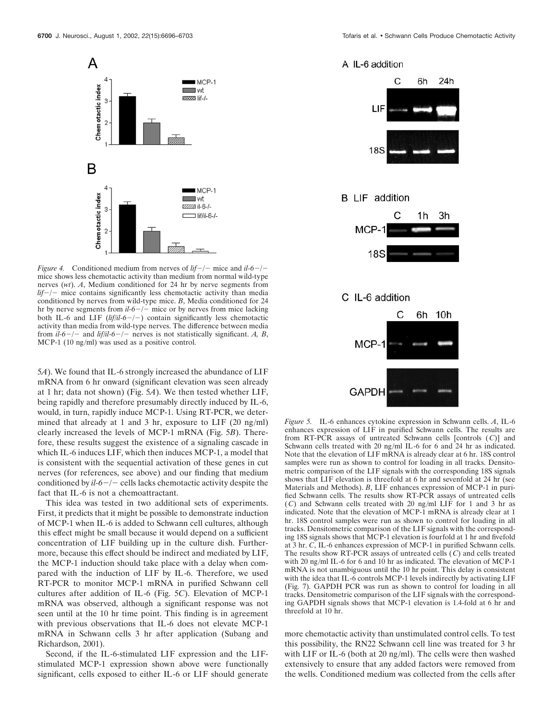

*Figure 4.* Conditioned medium from nerves of  $lif$  –/– mice and  $l1-6$ –/– mice shows less chemotactic activity than medium from normal wild-type nerves (*wt*). *A*, Medium conditioned for 24 hr by nerve segments from *lif*-*/*- mice contains significantly less chemotactic activity than media conditioned by nerves from wild-type mice. *B*, Media conditioned for 24 hr by nerve segments from *il-6*-*/*- mice or by nerves from mice lacking both IL-6 and LIF (*lif/il-6*-*/*-) contain significantly less chemotactic activity than media from wild-type nerves. The difference between media from  $il$ - $6$  – $/-$  and *lif/il*- $6$  – $/-$  nerves is not statistically significant. *A, B*, MCP-1 (10 ng/ml) was used as a positive control.

5*A*). We found that IL-6 strongly increased the abundance of LIF mRNA from 6 hr onward (significant elevation was seen already at 1 hr; data not shown) (Fig. 5*A*). We then tested whether LIF, being rapidly and therefore presumably directly induced by IL-6, would, in turn, rapidly induce MCP-1. Using RT-PCR, we determined that already at 1 and 3 hr, exposure to LIF (20 ng/ml) clearly increased the levels of MCP-1 mRNA (Fig. 5*B*). Therefore, these results suggest the existence of a signaling cascade in which IL-6 induces LIF, which then induces MCP-1, a model that is consistent with the sequential activation of these genes in cut nerves (for references, see above) and our finding that medium conditioned by  $il$ - $6$  – $/-$  cells lacks chemotactic activity despite the fact that IL-6 is not a chemoattractant.

This idea was tested in two additional sets of experiments. First, it predicts that it might be possible to demonstrate induction of MCP-1 when IL-6 is added to Schwann cell cultures, although this effect might be small because it would depend on a sufficient concentration of LIF building up in the culture dish. Furthermore, because this effect should be indirect and mediated by LIF, the MCP-1 induction should take place with a delay when compared with the induction of LIF by IL-6. Therefore, we used RT-PCR to monitor MCP-1 mRNA in purified Schwann cell cultures after addition of IL-6 (Fig. 5*C*). Elevation of MCP-1 mRNA was observed, although a significant response was not seen until at the 10 hr time point. This finding is in agreement with previous observations that IL-6 does not elevate MCP-1 mRNA in Schwann cells 3 hr after application (Subang and Richardson, 2001).

Second, if the IL-6-stimulated LIF expression and the LIFstimulated MCP-1 expression shown above were functionally significant, cells exposed to either IL-6 or LIF should generate

## A IL-6 addition



# **B** LIF addition



## C IL-6 addition



*Figure 5.* IL-6 enhances cytokine expression in Schwann cells. *A*, IL-6 enhances expression of LIF in purified Schwann cells. The results are from RT-PCR assays of untreated Schwann cells [controls (*C*)] and Schwann cells treated with 20 ng/ml IL-6 for 6 and 24 hr as indicated. Note that the elevation of LIF mRNA is already clear at 6 hr. 18S control samples were run as shown to control for loading in all tracks. Densitometric comparison of the LIF signals with the corresponding 18S signals shows that LIF elevation is threefold at 6 hr and sevenfold at 24 hr (see Materials and Methods). *B*, LIF enhances expression of MCP-1 in purified Schwann cells. The results show RT-PCR assays of untreated cells (*C*) and Schwann cells treated with 20 ng/ml LIF for 1 and 3 hr as indicated. Note that the elevation of MCP-1 mRNA is already clear at 1 hr. 18S control samples were run as shown to control for loading in all tracks. Densitometric comparison of the LIF signals with the corresponding 18S signals shows that MCP-1 elevation is fourfold at 1 hr and fivefold at 3 hr. *C*, IL-6 enhances expression of MCP-1 in purified Schwann cells. The results show RT-PCR assays of untreated cells (*C*) and cells treated with 20 ng/ml IL-6 for 6 and 10 hr as indicated. The elevation of MCP-1 mRNA is not unambiguous until the 10 hr point. This delay is consistent with the idea that IL-6 controls MCP-1 levels indirectly by activating LIF (Fig. 7). GAPDH PCR was run as shown to control for loading in all tracks. Densitometric comparison of the LIF signals with the corresponding GAPDH signals shows that MCP-1 elevation is 1.4-fold at 6 hr and threefold at 10 hr.

more chemotactic activity than unstimulated control cells. To test this possibility, the RN22 Schwann cell line was treated for 3 hr with LIF or IL-6 (both at 20 ng/ml). The cells were then washed extensively to ensure that any added factors were removed from the wells. Conditioned medium was collected from the cells after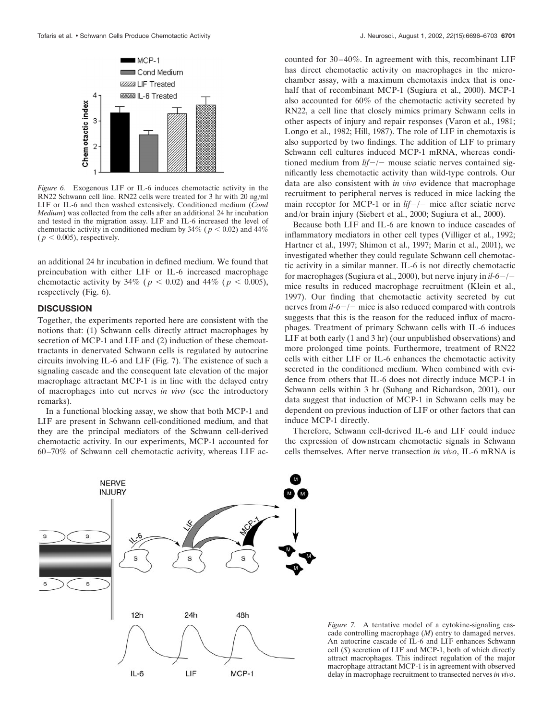

*Figure 6.* Exogenous LIF or IL-6 induces chemotactic activity in the RN22 Schwann cell line. RN22 cells were treated for 3 hr with 20 ng/ml LIF or IL-6 and then washed extensively. Conditioned medium (*Cond Medium*) was collected from the cells after an additional 24 hr incubation and tested in the migration assay. LIF and IL-6 increased the level of chemotactic activity in conditioned medium by  $34\%$  ( $p < 0.02$ ) and  $44\%$  $(p < 0.005)$ , respectively.

an additional 24 hr incubation in defined medium. We found that preincubation with either LIF or IL-6 increased macrophage chemotactic activity by 34% ( $p < 0.02$ ) and 44% ( $p < 0.005$ ), respectively (Fig. 6).

### **DISCUSSION**

Together, the experiments reported here are consistent with the notions that: (1) Schwann cells directly attract macrophages by secretion of MCP-1 and LIF and (2) induction of these chemoattractants in denervated Schwann cells is regulated by autocrine circuits involving IL-6 and LIF (Fig. 7). The existence of such a signaling cascade and the consequent late elevation of the major macrophage attractant MCP-1 is in line with the delayed entry of macrophages into cut nerves *in vivo* (see the introductory remarks).

In a functional blocking assay, we show that both MCP-1 and LIF are present in Schwann cell-conditioned medium, and that they are the principal mediators of the Schwann cell-derived chemotactic activity. In our experiments, MCP-1 accounted for 60–70% of Schwann cell chemotactic activity, whereas LIF accounted for 30–40%. In agreement with this, recombinant LIF has direct chemotactic activity on macrophages in the microchamber assay, with a maximum chemotaxis index that is onehalf that of recombinant MCP-1 (Sugiura et al., 2000). MCP-1 also accounted for 60% of the chemotactic activity secreted by RN22, a cell line that closely mimics primary Schwann cells in other aspects of injury and repair responses (Varon et al., 1981; Longo et al., 1982; Hill, 1987). The role of LIF in chemotaxis is also supported by two findings. The addition of LIF to primary Schwann cell cultures induced MCP-1 mRNA, whereas conditioned medium from *lif*-*/*- mouse sciatic nerves contained significantly less chemotactic activity than wild-type controls. Our data are also consistent with *in vivo* evidence that macrophage recruitment to peripheral nerves is reduced in mice lacking the main receptor for MCP-1 or in *lif-/-* mice after sciatic nerve and/or brain injury (Siebert et al., 2000; Sugiura et al., 2000).

Because both LIF and IL-6 are known to induce cascades of inflammatory mediators in other cell types (Villiger et al., 1992; Hartner et al., 1997; Shimon et al., 1997; Marin et al., 2001), we investigated whether they could regulate Schwann cell chemotactic activity in a similar manner. IL-6 is not directly chemotactic for macrophages (Sugiura et al., 2000), but nerve injury in *il-6*-*/* mice results in reduced macrophage recruitment (Klein et al., 1997). Our finding that chemotactic activity secreted by cut nerves from *il-6*-*/*- mice is also reduced compared with controls suggests that this is the reason for the reduced influx of macrophages. Treatment of primary Schwann cells with IL-6 induces LIF at both early (1 and 3 hr) (our unpublished observations) and more prolonged time points. Furthermore, treatment of RN22 cells with either LIF or IL-6 enhances the chemotactic activity secreted in the conditioned medium. When combined with evidence from others that IL-6 does not directly induce MCP-1 in Schwann cells within 3 hr (Subang and Richardson, 2001), our data suggest that induction of MCP-1 in Schwann cells may be dependent on previous induction of LIF or other factors that can induce MCP-1 directly.

Therefore, Schwann cell-derived IL-6 and LIF could induce the expression of downstream chemotactic signals in Schwann cells themselves. After nerve transection *in vivo*, IL-6 mRNA is



*Figure 7.* A tentative model of a cytokine-signaling cascade controlling macrophage (*M*) entry to damaged nerves. An autocrine cascade of IL-6 and LIF enhances Schwann cell (*S*) secretion of LIF and MCP-1, both of which directly attract macrophages. This indirect regulation of the major macrophage attractant MCP-1 is in agreement with observed delay in macrophage recruitment to transected nerves *in vivo*.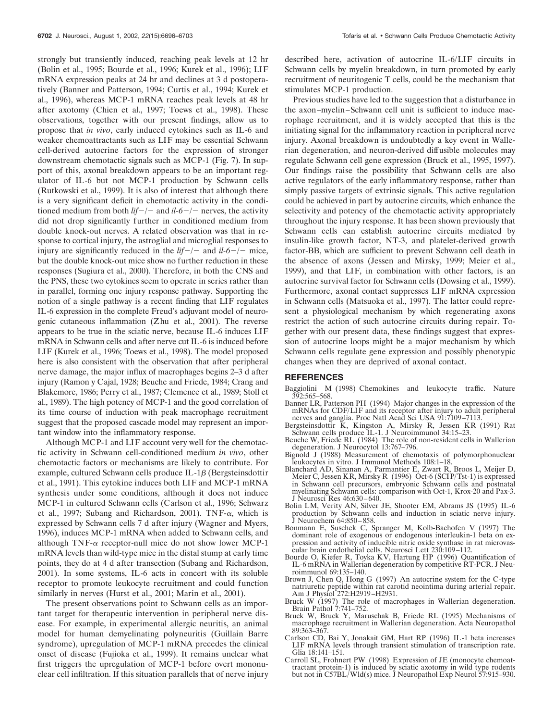strongly but transiently induced, reaching peak levels at 12 hr (Bolin et al., 1995; Bourde et al., 1996; Kurek et al., 1996); LIF mRNA expression peaks at 24 hr and declines at 3 d postoperatively (Banner and Patterson, 1994; Curtis et al., 1994; Kurek et al., 1996), whereas MCP-1 mRNA reaches peak levels at 48 hr after axotomy (Chien et al., 1997; Toews et al., 1998). These observations, together with our present findings, allow us to propose that *in vivo*, early induced cytokines such as IL-6 and weaker chemoattractants such as LIF may be essential Schwann cell-derived autocrine factors for the expression of stronger downstream chemotactic signals such as MCP-1 (Fig. 7). In support of this, axonal breakdown appears to be an important regulator of IL-6 but not MCP-1 production by Schwann cells (Rutkowski et al., 1999). It is also of interest that although there is a very significant deficit in chemotactic activity in the conditioned medium from both  $lif$  –  $/$  – and  $il$  –  $/$  – nerves, the activity did not drop significantly further in conditioned medium from double knock-out nerves. A related observation was that in response to cortical injury, the astroglial and microglial responses to injury are significantly reduced in the  $lif$ -/- and  $il$ -6-/- mice, but the double knock-out mice show no further reduction in these responses (Sugiura et al., 2000). Therefore, in both the CNS and the PNS, these two cytokines seem to operate in series rather than in parallel, forming one injury response pathway. Supporting the notion of a single pathway is a recent finding that LIF regulates IL-6 expression in the complete Freud's adjuvant model of neurogenic cutaneous inflammation (Zhu et al., 2001). The reverse appears to be true in the sciatic nerve, because IL-6 induces LIF mRNA in Schwann cells and after nerve cut IL-6 is induced before LIF (Kurek et al., 1996; Toews et al., 1998). The model proposed here is also consistent with the observation that after peripheral nerve damage, the major influx of macrophages begins 2–3 d after injury (Ramon y Cajal, 1928; Beuche and Friede, 1984; Crang and Blakemore, 1986; Perry et al., 1987; Clemence et al., 1989; Stoll et al., 1989). The high potency of MCP-1 and the good correlation of its time course of induction with peak macrophage recruitment suggest that the proposed cascade model may represent an important window into the inflammatory response.

Although MCP-1 and LIF account very well for the chemotactic activity in Schwann cell-conditioned medium *in vivo*, other chemotactic factors or mechanisms are likely to contribute. For example, cultured Schwann cells produce  $IL-1\beta$  (Bergsteinsdottir et al., 1991). This cytokine induces both LIF and MCP-1 mRNA synthesis under some conditions, although it does not induce MCP-1 in cultured Schwann cells (Carlson et al., 1996; Schwarz et al., 1997; Subang and Richardson, 2001). TNF- $\alpha$ , which is expressed by Schwann cells 7 d after injury (Wagner and Myers, 1996), induces MCP-1 mRNA when added to Schwann cells, and although  $TNF-\alpha$  receptor-null mice do not show lower MCP-1 mRNA levels than wild-type mice in the distal stump at early time points, they do at 4 d after transection (Subang and Richardson, 2001). In some systems, IL-6 acts in concert with its soluble receptor to promote leukocyte recruitment and could function similarly in nerves (Hurst et al., 2001; Marin et al., 2001).

The present observations point to Schwann cells as an important target for therapeutic intervention in peripheral nerve disease. For example, in experimental allergic neuritis, an animal model for human demyelinating polyneuritis (Guillain Barre syndrome), upregulation of MCP-1 mRNA precedes the clinical onset of disease (Fujioka et al., 1999). It remains unclear what first triggers the upregulation of MCP-1 before overt mononuclear cell infiltration. If this situation parallels that of nerve injury

described here, activation of autocrine IL-6/LIF circuits in Schwann cells by myelin breakdown, in turn promoted by early recruitment of neuritogenic T cells, could be the mechanism that stimulates MCP-1 production.

Previous studies have led to the suggestion that a disturbance in the axon–myelin–Schwann cell unit is sufficient to induce macrophage recruitment, and it is widely accepted that this is the initiating signal for the inflammatory reaction in peripheral nerve injury. Axonal breakdown is undoubtedly a key event in Wallerian degeneration, and neuron-derived diffusible molecules may regulate Schwann cell gene expression (Bruck et al., 1995, 1997). Our findings raise the possibility that Schwann cells are also active regulators of the early inflammatory response, rather than simply passive targets of extrinsic signals. This active regulation could be achieved in part by autocrine circuits, which enhance the selectivity and potency of the chemotactic activity appropriately throughout the injury response. It has been shown previously that Schwann cells can establish autocrine circuits mediated by insulin-like growth factor, NT-3, and platelet-derived growth factor-BB, which are sufficient to prevent Schwann cell death in the absence of axons (Jessen and Mirsky, 1999; Meier et al., 1999), and that LIF, in combination with other factors, is an autocrine survival factor for Schwann cells (Dowsing et al., 1999). Furthermore, axonal contact suppresses LIF mRNA expression in Schwann cells (Matsuoka et al., 1997). The latter could represent a physiological mechanism by which regenerating axons restrict the action of such autocrine circuits during repair. Together with our present data, these findings suggest that expression of autocrine loops might be a major mechanism by which Schwann cells regulate gene expression and possibly phenotypic changes when they are deprived of axonal contact.

#### **REFERENCES**

- Baggiolini M (1998) Chemokines and leukocyte traffic. Nature 392:565–568.
- Banner LR, Patterson PH (1994) Major changes in the expression of the mRNAs for CDF/LIF and its receptor after injury to adult peripheral nerves and ganglia. Proc Natl Acad Sci USA 91:7109–7113.
- Bergsteinsdottir K, Kingston A, Mirsky R, Jessen KR (1991) Rat Schwann cells produce IL-1. J Neuroimmunol 34:15–23.
- Beuche W, Friede RL (1984) The role of non-resident cells in Wallerian degeneration. J Neurocytol 13:767–796.
- Bignold J (1988) Measurement of chemotaxis of polymorphonuclear leukocytes in vitro. J Immunol Methods 108:1–18.
- Blanchard AD, Sinanan A, Parmantier E, Zwart R, Broos L, Meijer D, Meier C, Jessen KR, Mirsky R (1996) Oct-6 (SCIP/Tst-1) is expressed in Schwann cell precursors, embryonic Schwann cells and postnatal myelinating Schwann cells: comparison with Oct-1, Krox-20 and Pax-3. J Neurosci Res 46:630–640.
- Bolin LM, Verity AN, Silver JE, Shooter EM, Abrams JS (1995) IL-6 production by Schwann cells and induction in sciatic nerve injury. J Neurochem 64:850–858.
- Bonmann E, Suschek C, Spranger M, Kolb-Bachofen V (1997) The dominant role of exogenous or endogenous interleukin-1 beta on expression and activity of inducible nitric oxide synthase in rat microvascular brain endothelial cells. Neurosci Lett 230:109–112.
- Bourde O, Kiefer R, Toyka KV, Hartung HP (1996) Quantification of IL-6 mRNA in Wallerian degeneration by competitive RT-PCR. J Neuroimmunol 69:135–140.
- Brown J, Chen Q, Hong G (1997) An autocrine system for the C-type natriuretic peptide within rat carotid neointima during arterial repair. Am J Physiol 272:H2919–H2931.
- Bruck W (1997) The role of macrophages in Wallerian degeneration. Brain Pathol 7:741–752.
- Bruck W, Bruck Y, Maruschak B, Friede RL (1995) Mechanisms of macrophage recruitment in Wallerian degeneration. Acta Neuropathol 89:363–367.
- Carlson CD, Bai Y, Jonakait GM, Hart RP (1996) IL-1 beta increases LIF mRNA levels through transient stimulation of transcription rate. Glia 18:141–151.
- Carroll SL, Frohnert PW (1998) Expression of JE (monocyte chemoattractant protein-1) is induced by sciatic axotomy in wild type rodents but not in C57BL/Wld(s) mice. J Neuropathol Exp Neurol 57:915–930.